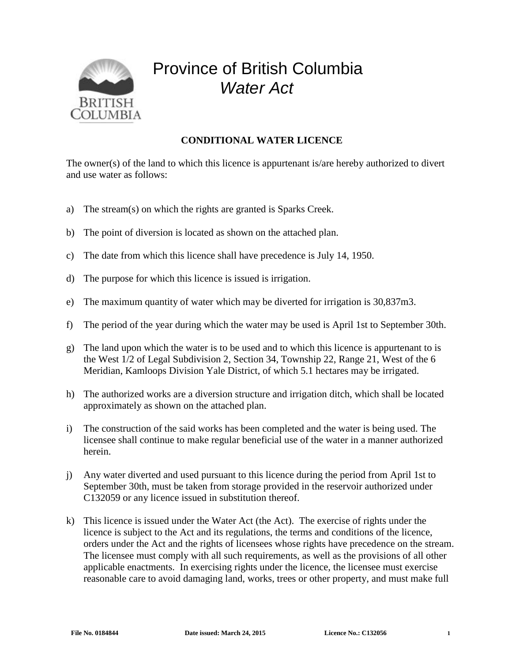

## Province of British Columbia *Water Act*

## **CONDITIONAL WATER LICENCE**

The owner(s) of the land to which this licence is appurtenant is/are hereby authorized to divert and use water as follows:

- a) The stream(s) on which the rights are granted is Sparks Creek.
- b) The point of diversion is located as shown on the attached plan.
- c) The date from which this licence shall have precedence is July 14, 1950.
- d) The purpose for which this licence is issued is irrigation.
- e) The maximum quantity of water which may be diverted for irrigation is 30,837m3.
- f) The period of the year during which the water may be used is April 1st to September 30th.
- g) The land upon which the water is to be used and to which this licence is appurtenant to is the West 1/2 of Legal Subdivision 2, Section 34, Township 22, Range 21, West of the 6 Meridian, Kamloops Division Yale District, of which 5.1 hectares may be irrigated.
- h) The authorized works are a diversion structure and irrigation ditch, which shall be located approximately as shown on the attached plan.
- i) The construction of the said works has been completed and the water is being used. The licensee shall continue to make regular beneficial use of the water in a manner authorized herein.
- j) Any water diverted and used pursuant to this licence during the period from April 1st to September 30th, must be taken from storage provided in the reservoir authorized under C132059 or any licence issued in substitution thereof.
- k) This licence is issued under the Water Act (the Act). The exercise of rights under the licence is subject to the Act and its regulations, the terms and conditions of the licence, orders under the Act and the rights of licensees whose rights have precedence on the stream. The licensee must comply with all such requirements, as well as the provisions of all other applicable enactments. In exercising rights under the licence, the licensee must exercise reasonable care to avoid damaging land, works, trees or other property, and must make full